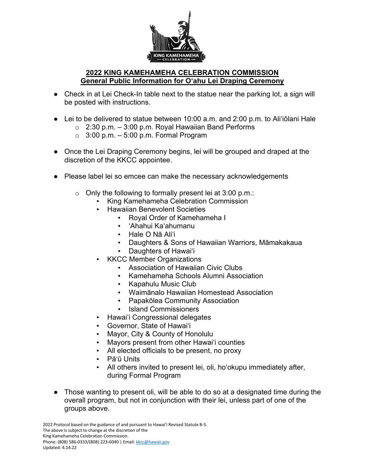

## **2022 KING KAMEHAMEHA CELEBRATION COMMISSION General Public Information for Oʻahu Lei Draping Ceremony**

- Check in at Lei Check-In table next to the statue near the parking lot, a sign will be posted with instructions.
- Lei to be delivered to statue between 10:00 a.m. and 2:00 p.m. to Ali'iōlani Hale
	- $\circ$  2:30 p.m. 3:00 p.m. Royal Hawaiian Band Performs
	- $\circ$  3:00 p.m. 5:00 p.m. Formal Program
- Once the Lei Draping Ceremony begins, lei will be grouped and draped at the discretion of the KKCC appointee.
- Please label lei so emcee can make the necessary acknowledgements
	- o Only the following to formally present lei at 3:00 p.m.:
		- King Kamehameha Celebration Commission
		- **Hawaiian Benevolent Societies** 
			- Royal Order of Kamehameha I
			- 'Ahahui Ka'ahumanu
			- Hale O Nā Ali'i
			- Daughters & Sons of Hawaiian Warriors, Māmakakaua
			- Daughters of Hawai'i
		- **KKCC Member Organizations** 
			- Association of Hawaiian Civic Clubs
			- Kamehameha Schools Alumni Association
			- Kapahulu Music Club
			- Waimānalo Hawaiian Homestead Association
			- Papakōlea Community Association
			- Island Commissioners
		- Hawai'i Congressional delegates
		- Governor, State of Hawai'i
		- Mayor, City & County of Honolulu
		- Mayors present from other Hawai'i counties
		- All elected officials to be present, no proxy
		- Pāʻū Units
		- All others invited to present lei, oli, ho'okupu immediately after, during Formal Program
- Those wanting to present oli, will be able to do so at a designated time during the overall program, but not in conjunction with their lei, unless part of one of the groups above.